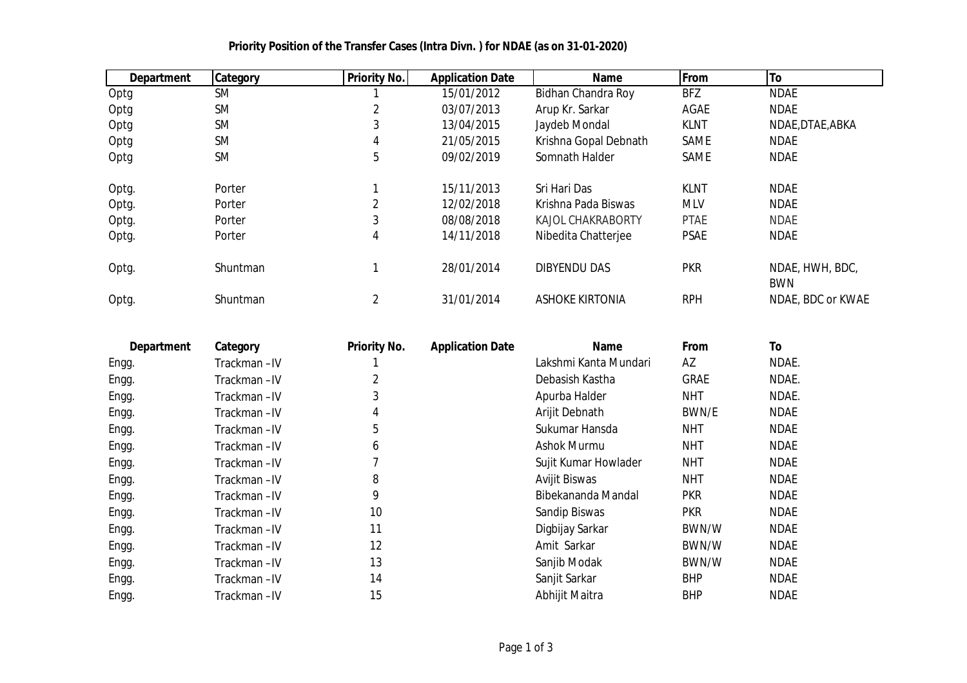| <b>Department</b> | <b>Category</b> | <b>Priority No.</b> | <b>Application Date</b> | <b>Name</b>              | From        | To                            |
|-------------------|-----------------|---------------------|-------------------------|--------------------------|-------------|-------------------------------|
| Optg              | <b>SM</b>       |                     | 15/01/2012              | Bidhan Chandra Roy       | <b>BFZ</b>  | <b>NDAE</b>                   |
| Optg              | <b>SM</b>       | $\overline{2}$      | 03/07/2013              | Arup Kr. Sarkar          | AGAE        | <b>NDAE</b>                   |
| Optg              | <b>SM</b>       | 3                   | 13/04/2015              | Jaydeb Mondal            | <b>KLNT</b> | NDAE, DTAE, ABKA              |
| Optg              | <b>SM</b>       | 4                   | 21/05/2015              | Krishna Gopal Debnath    | <b>SAME</b> | <b>NDAE</b>                   |
| Optg              | <b>SM</b>       | 5                   | 09/02/2019              | Somnath Halder           | <b>SAME</b> | <b>NDAE</b>                   |
| Optg.             | Porter          |                     | 15/11/2013              | Sri Hari Das             | <b>KLNT</b> | <b>NDAE</b>                   |
| Optg.             | Porter          | 2                   | 12/02/2018              | Krishna Pada Biswas      | <b>MLV</b>  | <b>NDAE</b>                   |
| Optg.             | Porter          | 3                   | 08/08/2018              | <b>KAJOL CHAKRABORTY</b> | <b>PTAE</b> | <b>NDAE</b>                   |
| Optg.             | Porter          | 4                   | 14/11/2018              | Nibedita Chatterjee      | <b>PSAE</b> | <b>NDAE</b>                   |
| Optg.             | <b>Shuntman</b> |                     | 28/01/2014              | <b>DIBYENDU DAS</b>      | <b>PKR</b>  | NDAE, HWH, BDC,<br><b>BWN</b> |
| Optg.             | Shuntman        | 2                   | 31/01/2014              | <b>ASHOKE KIRTONIA</b>   | <b>RPH</b>  | NDAE, BDC or KWAE             |

## **Priority Position of the Transfer Cases (Intra Divn. ) for NDAE (as on 31-01-2020)**

| <b>Department</b> | Category    | <b>Priority No.</b> | <b>Application Date</b> | <b>Name</b>           | From        | To          |
|-------------------|-------------|---------------------|-------------------------|-----------------------|-------------|-------------|
| Engg.             | Trackman-IV |                     |                         | Lakshmi Kanta Mundari | AZ          | NDAE.       |
| Engg.             | Trackman-IV |                     |                         | Debasish Kastha       | <b>GRAE</b> | NDAE.       |
| Engg.             | Trackman-IV | 3                   |                         | Apurba Halder         | <b>NHT</b>  | NDAE.       |
| Engg.             | Trackman-IV | 4                   |                         | Arijit Debnath        | BWN/E       | <b>NDAE</b> |
| Engg.             | Trackman-IV | 5                   |                         | Sukumar Hansda        | <b>NHT</b>  | <b>NDAE</b> |
| Engg.             | Trackman-IV | 6                   |                         | Ashok Murmu           | <b>NHT</b>  | <b>NDAE</b> |
| Engg.             | Trackman-IV |                     |                         | Sujit Kumar Howlader  | <b>NHT</b>  | <b>NDAE</b> |
| Engg.             | Trackman-IV | 8                   |                         | <b>Avijit Biswas</b>  | <b>NHT</b>  | <b>NDAE</b> |
| Engg.             | Trackman-IV | 9                   |                         | Bibekananda Mandal    | <b>PKR</b>  | <b>NDAE</b> |
| Engg.             | Trackman-IV | 10                  |                         | Sandip Biswas         | <b>PKR</b>  | <b>NDAE</b> |
| Engg.             | Trackman-IV | 11                  |                         | Digbijay Sarkar       | BWN/W       | <b>NDAE</b> |
| Engg.             | Trackman-IV | 12                  |                         | Amit Sarkar           | BWN/W       | <b>NDAE</b> |
| Engg.             | Trackman-IV | 13                  |                         | Sanjib Modak          | BWN/W       | <b>NDAE</b> |
| Engg.             | Trackman-IV | 14                  |                         | Sanjit Sarkar         | <b>BHP</b>  | <b>NDAE</b> |
| Engg.             | Trackman-IV | 15                  |                         | Abhijit Maitra        | <b>BHP</b>  | <b>NDAE</b> |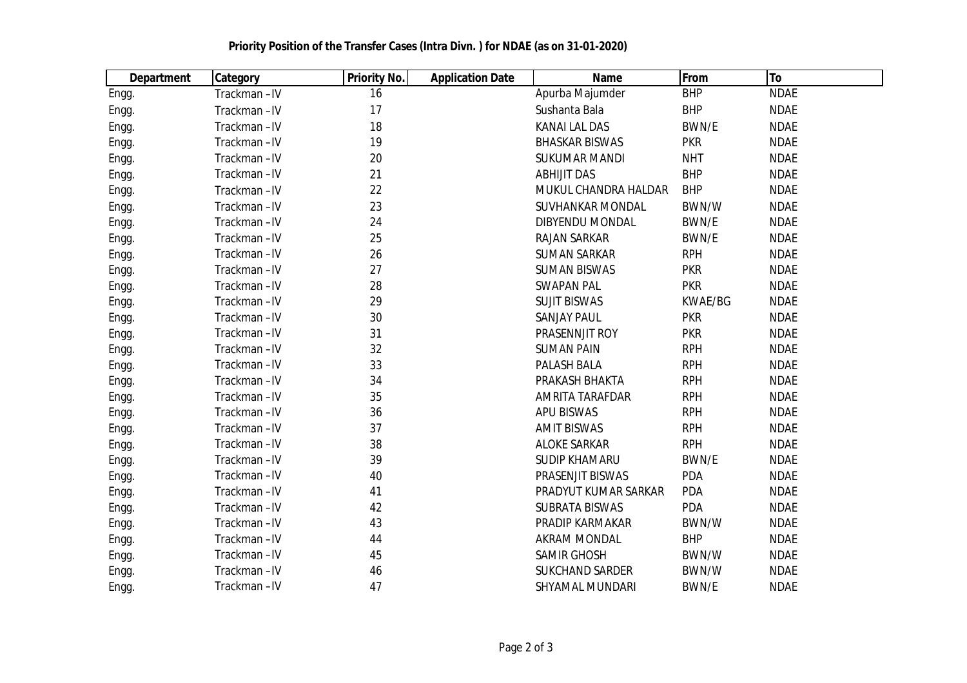| <b>Department</b> | <b>Category</b> | <b>Priority No.</b> | <b>Application Date</b> | <b>Name</b>             | From         | To          |
|-------------------|-----------------|---------------------|-------------------------|-------------------------|--------------|-------------|
| Engg.             | Trackman-IV     | 16                  |                         | Apurba Majumder         | <b>BHP</b>   | <b>NDAE</b> |
| Engg.             | Trackman-IV     | 17                  |                         | Sushanta Bala           | <b>BHP</b>   | <b>NDAE</b> |
| Engg.             | Trackman-IV     | 18                  |                         | <b>KANAI LAL DAS</b>    | BWN/E        | <b>NDAE</b> |
| Engg.             | Trackman-IV     | 19                  |                         | <b>BHASKAR BISWAS</b>   | <b>PKR</b>   | <b>NDAE</b> |
| Engg.             | Trackman-IV     | 20                  |                         | <b>SUKUMAR MANDI</b>    | <b>NHT</b>   | <b>NDAE</b> |
| Engg.             | Trackman-IV     | 21                  |                         | <b>ABHIJIT DAS</b>      | <b>BHP</b>   | <b>NDAE</b> |
| Engg.             | Trackman-IV     | 22                  |                         | MUKUL CHANDRA HALDAR    | <b>BHP</b>   | <b>NDAE</b> |
| Engg.             | Trackman-IV     | 23                  |                         | <b>SUVHANKAR MONDAL</b> | BWN/W        | <b>NDAE</b> |
| Engg.             | Trackman-IV     | 24                  |                         | <b>DIBYENDU MONDAL</b>  | BWN/E        | <b>NDAE</b> |
| Engg.             | Trackman-IV     | 25                  |                         | <b>RAJAN SARKAR</b>     | BWN/E        | <b>NDAE</b> |
| Engg.             | Trackman-IV     | 26                  |                         | <b>SUMAN SARKAR</b>     | <b>RPH</b>   | <b>NDAE</b> |
| Engg.             | Trackman-IV     | 27                  |                         | <b>SUMAN BISWAS</b>     | <b>PKR</b>   | <b>NDAE</b> |
| Engg.             | Trackman-IV     | 28                  |                         | <b>SWAPAN PAL</b>       | <b>PKR</b>   | <b>NDAE</b> |
| Engg.             | Trackman-IV     | 29                  |                         | <b>SUJIT BISWAS</b>     | KWAE/BG      | <b>NDAE</b> |
| Engg.             | Trackman-IV     | 30                  |                         | <b>SANJAY PAUL</b>      | <b>PKR</b>   | <b>NDAE</b> |
| Engg.             | Trackman-IV     | 31                  |                         | PRASENNJIT ROY          | <b>PKR</b>   | <b>NDAE</b> |
| Engg.             | Trackman-IV     | 32                  |                         | <b>SUMAN PAIN</b>       | <b>RPH</b>   | <b>NDAE</b> |
| Engg.             | Trackman-IV     | 33                  |                         | PALASH BALA             | <b>RPH</b>   | <b>NDAE</b> |
| Engg.             | Trackman-IV     | 34                  |                         | PRAKASH BHAKTA          | <b>RPH</b>   | <b>NDAE</b> |
| Engg.             | Trackman-IV     | 35                  |                         | AMRITA TARAFDAR         | <b>RPH</b>   | <b>NDAE</b> |
| Engg.             | Trackman-IV     | 36                  |                         | <b>APU BISWAS</b>       | <b>RPH</b>   | <b>NDAE</b> |
| Engg.             | Trackman-IV     | 37                  |                         | <b>AMIT BISWAS</b>      | <b>RPH</b>   | <b>NDAE</b> |
| Engg.             | Trackman-IV     | 38                  |                         | <b>ALOKE SARKAR</b>     | <b>RPH</b>   | <b>NDAE</b> |
| Engg.             | Trackman-IV     | 39                  |                         | <b>SUDIP KHAMARU</b>    | BWN/E        | <b>NDAE</b> |
| Engg.             | Trackman-IV     | 40                  |                         | PRASENJIT BISWAS        | PDA          | <b>NDAE</b> |
| Engg.             | Trackman-IV     | 41                  |                         | PRADYUT KUMAR SARKAR    | PDA          | <b>NDAE</b> |
| Engg.             | Trackman-IV     | 42                  |                         | <b>SUBRATA BISWAS</b>   | PDA          | <b>NDAE</b> |
| Engg.             | Trackman-IV     | 43                  |                         | PRADIP KARMAKAR         | BWN/W        | <b>NDAE</b> |
| Engg.             | Trackman-IV     | 44                  |                         | <b>AKRAM MONDAL</b>     | <b>BHP</b>   | <b>NDAE</b> |
| Engg.             | Trackman-IV     | 45                  |                         | <b>SAMIR GHOSH</b>      | BWN/W        | <b>NDAE</b> |
| Engg.             | Trackman-IV     | 46                  |                         | <b>SUKCHAND SARDER</b>  | BWN/W        | <b>NDAE</b> |
| Engg.             | Trackman-IV     | 47                  |                         | <b>SHYAMAL MUNDARI</b>  | <b>BWN/E</b> | <b>NDAE</b> |

## **Priority Position of the Transfer Cases (Intra Divn. ) for NDAE (as on 31-01-2020)**